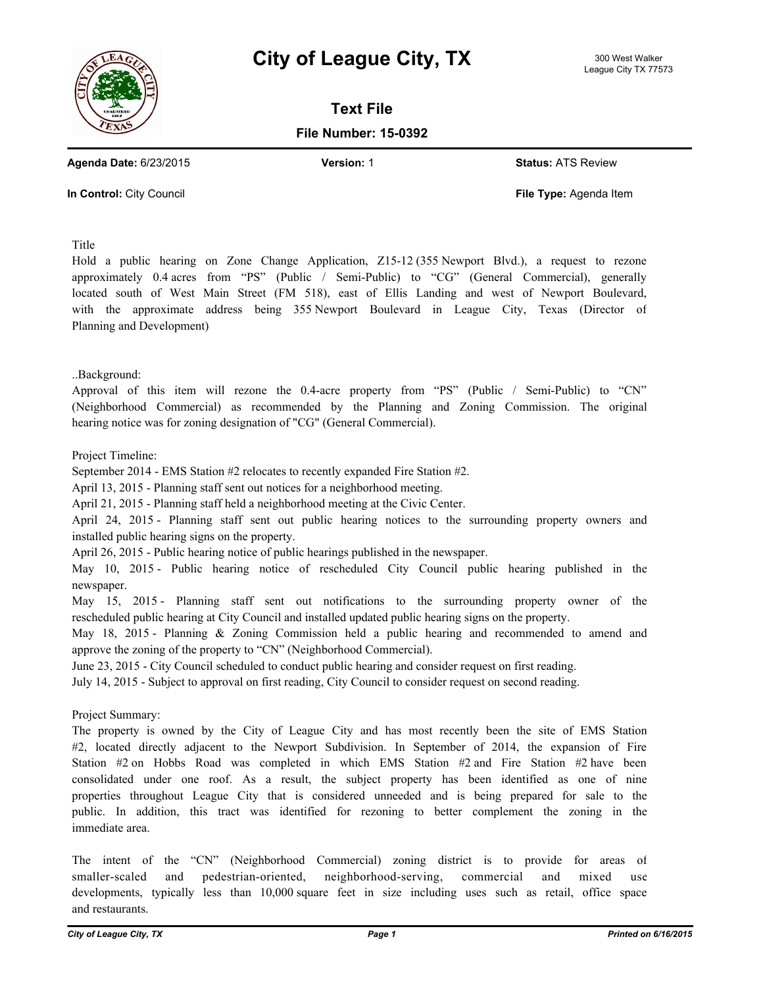



**Text File**

**File Number: 15-0392**

**Agenda Date:** 6/23/2015 **Version:** 1 **Status:** ATS Review

**In Control:** City Council **File Type:** Agenda Item

Title

Hold a public hearing on Zone Change Application, Z15-12 (355 Newport Blvd.), a request to rezone approximately 0.4 acres from "PS" (Public / Semi-Public) to "CG" (General Commercial), generally located south of West Main Street (FM 518), east of Ellis Landing and west of Newport Boulevard, with the approximate address being 355 Newport Boulevard in League City, Texas (Director of Planning and Development)

..Background:

Approval of this item will rezone the 0.4-acre property from "PS" (Public / Semi-Public) to "CN" (Neighborhood Commercial) as recommended by the Planning and Zoning Commission. The original hearing notice was for zoning designation of "CG" (General Commercial).

Project Timeline:

September 2014 - EMS Station #2 relocates to recently expanded Fire Station #2.

April 13, 2015 - Planning staff sent out notices for a neighborhood meeting.

April 21, 2015 - Planning staff held a neighborhood meeting at the Civic Center.

April 24, 2015 - Planning staff sent out public hearing notices to the surrounding property owners and installed public hearing signs on the property.

April 26, 2015 - Public hearing notice of public hearings published in the newspaper.

May 10, 2015 - Public hearing notice of rescheduled City Council public hearing published in the newspaper.

May 15, 2015 - Planning staff sent out notifications to the surrounding property owner of the rescheduled public hearing at City Council and installed updated public hearing signs on the property.

May 18, 2015 - Planning & Zoning Commission held a public hearing and recommended to amend and approve the zoning of the property to "CN" (Neighborhood Commercial).

June 23, 2015 - City Council scheduled to conduct public hearing and consider request on first reading.

July 14, 2015 - Subject to approval on first reading, City Council to consider request on second reading.

Project Summary:

The property is owned by the City of League City and has most recently been the site of EMS Station #2, located directly adjacent to the Newport Subdivision. In September of 2014, the expansion of Fire Station #2 on Hobbs Road was completed in which EMS Station #2 and Fire Station #2 have been consolidated under one roof. As a result, the subject property has been identified as one of nine properties throughout League City that is considered unneeded and is being prepared for sale to the public. In addition, this tract was identified for rezoning to better complement the zoning in the immediate area.

The intent of the "CN" (Neighborhood Commercial) zoning district is to provide for areas of smaller-scaled and pedestrian-oriented, neighborhood-serving, commercial and mixed use developments, typically less than 10,000 square feet in size including uses such as retail, office space and restaurants.